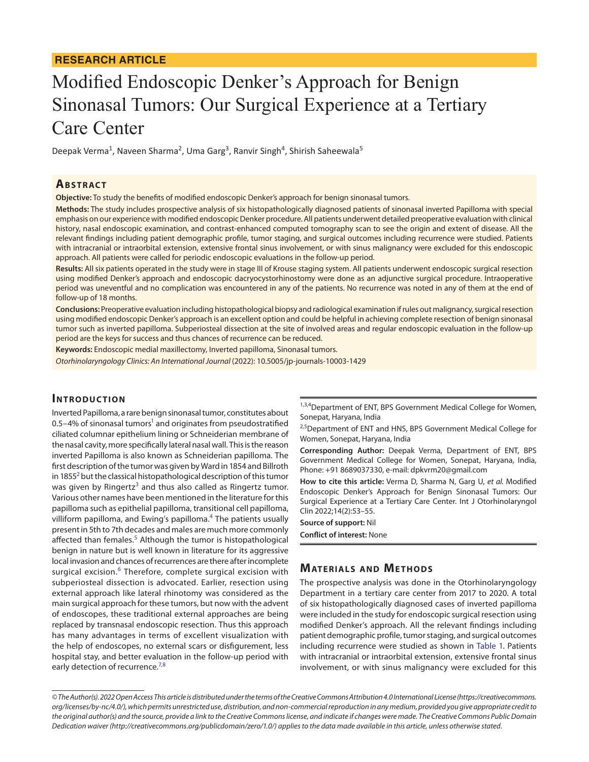#### **RESEARCH ARTICLE**

# Modified Endoscopic Denker's Approach for Benign Sinonasal Tumors: Our Surgical Experience at a Tertiary Care Center

Deepak Verma<sup>1</sup>, Naveen Sharma<sup>2</sup>, Uma Garg<sup>3</sup>, Ranvir Singh<sup>4</sup>, Shirish Saheewala<sup>5</sup>

# **ABSTRACT**

**Objective:** To study the benefits of modified endoscopic Denker's approach for benign sinonasal tumors.

**Methods:** The study includes prospective analysis of six histopathologically diagnosed patients of sinonasal inverted Papilloma with special emphasis on our experience with modified endoscopic Denker procedure. All patients underwent detailed preoperative evaluation with clinical history, nasal endoscopic examination, and contrast-enhanced computed tomography scan to see the origin and extent of disease. All the relevant findings including patient demographic profile, tumor staging, and surgical outcomes including recurrence were studied. Patients with intracranial or intraorbital extension, extensive frontal sinus involvement, or with sinus malignancy were excluded for this endoscopic approach. All patients were called for periodic endoscopic evaluations in the follow-up period.

**Results:** All six patients operated in the study were in stage III of Krouse staging system. All patients underwent endoscopic surgical resection using modified Denker's approach and endoscopic dacryocystorhinostomy were done as an adjunctive surgical procedure. Intraoperative period was uneventful and no complication was encountered in any of the patients. No recurrence was noted in any of them at the end of follow-up of 18 months.

**Conclusions:** Preoperative evaluation including histopathological biopsy and radiological examination if rules out malignancy, surgical resection using modified endoscopic Denker's approach is an excellent option and could be helpful in achieving complete resection of benign sinonasal tumor such as inverted papilloma. Subperiosteal dissection at the site of involved areas and regular endoscopic evaluation in the follow-up period are the keys for success and thus chances of recurrence can be reduced.

**Keywords:** Endoscopic medial maxillectomy, Inverted papilloma, Sinonasal tumors.

*Otorhinolaryngology Clinics: An International Journal* (2022): 10.5005/jp-journals-10003-1429

#### **INTRODUCTION**

Inverted Papilloma, a rare benign sinonasal tumor, constitutes about 0.5-4% of sinonasal tumors<sup>1</sup> and originates from pseudostratified ciliated columnar epithelium lining or Schneiderian membrane of the nasal cavity, more specifically lateral nasal wall. This is the reason inverted Papilloma is also known as Schneiderian papilloma. The first description of the tumor was given by Ward in 1854 and Billroth in 1855 $^2$  $^2$  but the classical histopathological description of this tumor was given by Ringertz<sup>[3](#page-2-2)</sup> and thus also called as Ringertz tumor. Various other names have been mentioned in the literature for this papilloma such as epithelial papilloma, transitional cell papilloma, villiform papilloma, and Ewing's papilloma.<sup>[4](#page-2-3)</sup> The patients usually present in 5th to 7th decades and males are much more commonly affected than females.<sup>[5](#page-2-4)</sup> Although the tumor is histopathological benign in nature but is well known in literature for its aggressive local invasion and chances of recurrences are there after incomplete surgical excision. $^6$  $^6$  Therefore, complete surgical excision with subperiosteal dissection is advocated. Earlier, resection using external approach like lateral rhinotomy was considered as the main surgical approach for these tumors, but now with the advent of endoscopes, these traditional external approaches are being replaced by transnasal endoscopic resection. Thus this approach has many advantages in terms of excellent visualization with the help of endoscopes, no external scars or disfigurement, less hospital stay, and better evaluation in the follow-up period with early detection of recurrence.<sup>[7](#page-2-6),[8](#page-2-7)</sup>

1,3,4Department of ENT, BPS Government Medical College for Women, Sonepat, Haryana, India

<sup>2,5</sup>Department of ENT and HNS, BPS Government Medical College for Women, Sonepat, Haryana, India

**Corresponding Author:** Deepak Verma, Department of ENT, BPS Government Medical College for Women, Sonepat, Haryana, India, Phone: +91 8689037330, e-mail: dpkvrm20@gmail.com

**How to cite this article:** Verma D, Sharma N, Garg U, *et al.* Modified Endoscopic Denker's Approach for Benign Sinonasal Tumors: Our Surgical Experience at a Tertiary Care Center. Int J Otorhinolaryngol Clin 2022;14(2):53–55.

**Source of support:** Nil **Conflict of interest:** None

# **MATERIALS AND METHODS**

The prospective analysis was done in the Otorhinolaryngology Department in a tertiary care center from 2017 to 2020. A total of six histopathologically diagnosed cases of inverted papilloma were included in the study for endoscopic surgical resection using modified Denker's approach. All the relevant findings including patient demographic profile, tumor staging, and surgical outcomes including recurrence were studied as shown in [Table 1.](#page-1-0) Patients with intracranial or intraorbital extension, extensive frontal sinus involvement, or with sinus malignancy were excluded for this

*<sup>©</sup> The Author(s). 2022 Open Access This article is distributed under the terms of the Creative Commons Attribution 4.0 International License [\(https://creativecommons.](https://creativecommons.org/licenses/by-nc/4.0/) [org/licenses/by-nc/4.0/](https://creativecommons.org/licenses/by-nc/4.0/)), which permits unrestricted use, distribution, and non-commercial reproduction in any medium, provided you give appropriate credit to the original author(s) and the source, provide a link to the Creative Commons license, and indicate if changes were made. The Creative Commons Public Domain Dedication waiver [\(http://creativecommons.org/publicdomain/zero/1.0/\)](http://creativecommons.org/publicdomain/zero/1.0/) applies to the data made available in this article, unless otherwise stated.*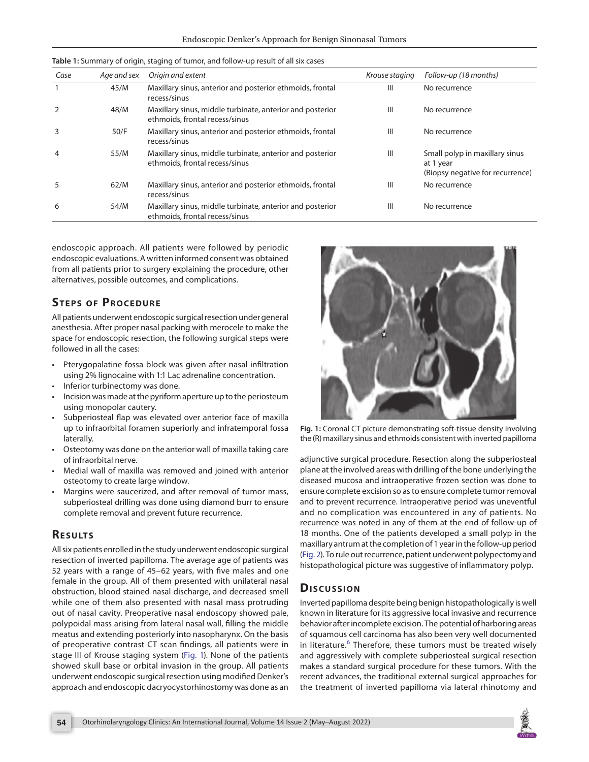| Case | Age and sex | Origin and extent                                                                           | Krouse staging | Follow-up (18 months)                                                           |
|------|-------------|---------------------------------------------------------------------------------------------|----------------|---------------------------------------------------------------------------------|
|      | 45/M        | Maxillary sinus, anterior and posterior ethmoids, frontal<br>recess/sinus                   | Ш              | No recurrence                                                                   |
|      | 48/M        | Maxillary sinus, middle turbinate, anterior and posterior<br>ethmoids, frontal recess/sinus | $\mathbf{III}$ | No recurrence                                                                   |
|      | 50/F        | Maxillary sinus, anterior and posterior ethmoids, frontal<br>recess/sinus                   | $\mathbf{III}$ | No recurrence                                                                   |
|      | 55/M        | Maxillary sinus, middle turbinate, anterior and posterior<br>ethmoids, frontal recess/sinus | Ш              | Small polyp in maxillary sinus<br>at 1 year<br>(Biopsy negative for recurrence) |
| 5    | 62/M        | Maxillary sinus, anterior and posterior ethmoids, frontal<br>recess/sinus                   | Ш              | No recurrence                                                                   |
| 6    | 54/M        | Maxillary sinus, middle turbinate, anterior and posterior<br>ethmoids, frontal recess/sinus | $\mathbf{III}$ | No recurrence                                                                   |

<span id="page-1-0"></span>**Table 1:** Summary of origin, staging of tumor, and follow-up result of all six cases

endoscopic approach. All patients were followed by periodic endoscopic evaluations. A written informed consent was obtained from all patients prior to surgery explaining the procedure, other alternatives, possible outcomes, and complications.

# **STEPS OF PROCEDURE**

All patients underwent endoscopic surgical resection under general anesthesia. After proper nasal packing with merocele to make the space for endoscopic resection, the following surgical steps were followed in all the cases:

- Pterygopalatine fossa block was given after nasal infiltration using 2% lignocaine with 1:1 Lac adrenaline concentration.
- Inferior turbinectomy was done.
- Incision was made at the pyriform aperture up to the periosteum using monopolar cautery.
- Subperiosteal flap was elevated over anterior face of maxilla up to infraorbital foramen superiorly and infratemporal fossa laterally.
- Osteotomy was done on the anterior wall of maxilla taking care of infraorbital nerve.
- Medial wall of maxilla was removed and joined with anterior osteotomy to create large window.
- Margins were saucerized, and after removal of tumor mass, subperiosteal drilling was done using diamond burr to ensure complete removal and prevent future recurrence.

# **RESULTS**

All six patients enrolled in the study underwent endoscopic surgical resection of inverted papilloma. The average age of patients was 52 years with a range of 45–62 years, with five males and one female in the group. All of them presented with unilateral nasal obstruction, blood stained nasal discharge, and decreased smell while one of them also presented with nasal mass protruding out of nasal cavity. Preoperative nasal endoscopy showed pale, polypoidal mass arising from lateral nasal wall, filling the middle meatus and extending posteriorly into nasopharynx. On the basis of preoperative contrast CT scan findings, all patients were in stage III of Krouse staging system [\(Fig. 1\)](#page-1-1). None of the patients showed skull base or orbital invasion in the group. All patients underwent endoscopic surgical resection using modified Denker's approach and endoscopic dacryocystorhinostomy was done as an



<span id="page-1-1"></span>**Fig. 1:** Coronal CT picture demonstrating soft-tissue density involving the (R) maxillary sinus and ethmoids consistent with inverted papilloma

adjunctive surgical procedure. Resection along the subperiosteal plane at the involved areas with drilling of the bone underlying the diseased mucosa and intraoperative frozen section was done to ensure complete excision so as to ensure complete tumor removal and to prevent recurrence. Intraoperative period was uneventful and no complication was encountered in any of patients. No recurrence was noted in any of them at the end of follow-up of 18 months. One of the patients developed a small polyp in the maxillary antrum at the completion of 1 year in the follow-up period [\(Fig. 2](#page-2-8)). To rule out recurrence, patient underwent polypectomy and histopathological picture was suggestive of inflammatory polyp.

#### **Dis c u s sio n**

Inverted papilloma despite being benign histopathologically is well known in literature for its aggressive local invasive and recurrence behavior after incomplete excision. The potential of harboring areas of squamous cell carcinoma has also been very well documented in literature.<sup>[6](#page-2-5)</sup> Therefore, these tumors must be treated wisely and aggressively with complete subperiosteal surgical resection makes a standard surgical procedure for these tumors. With the recent advances, the traditional external surgical approaches for the treatment of inverted papilloma via lateral rhinotomy and